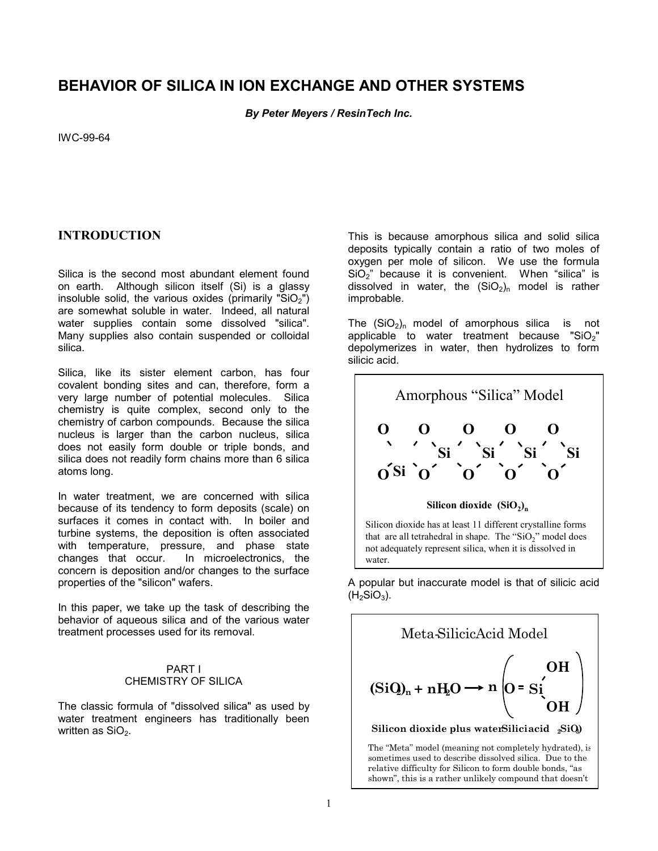## **BEHAVIOR OF SILICA IN ION EXCHANGE AND OTHER SYSTEMS**

*By Peter Meyers / ResinTech Inc.* 

IWC-99-64

## **INTRODUCTION**

Silica is the second most abundant element found on earth. Although silicon itself (Si) is a glassy insoluble solid, the various oxides (primarily " $SiO<sub>2</sub>$ ") are somewhat soluble in water. Indeed, all natural water supplies contain some dissolved "silica". Many supplies also contain suspended or colloidal silica.

Silica, like its sister element carbon, has four covalent bonding sites and can, therefore, form a very large number of potential molecules. Silica chemistry is quite complex, second only to the chemistry of carbon compounds. Because the silica nucleus is larger than the carbon nucleus, silica does not easily form double or triple bonds, and silica does not readily form chains more than 6 silica atoms long.

In water treatment, we are concerned with silica because of its tendency to form deposits (scale) on surfaces it comes in contact with. In boiler and turbine systems, the deposition is often associated with temperature, pressure, and phase state changes that occur. In microelectronics, the concern is deposition and/or changes to the surface properties of the "silicon" wafers.

In this paper, we take up the task of describing the behavior of aqueous silica and of the various water treatment processes used for its removal.

#### PART I CHEMISTRY OF SILICA

The classic formula of "dissolved silica" as used by water treatment engineers has traditionally been written as  $SiO<sub>2</sub>$ .

This is because amorphous silica and solid silica deposits typically contain a ratio of two moles of oxygen per mole of silicon. We use the formula  $SiO<sub>2</sub>$ " because it is convenient. When "silica" is dissolved in water, the  $(SiO<sub>2</sub>)<sub>n</sub>$  model is rather improbable.

The  $(SiO<sub>2</sub>)<sub>n</sub>$  model of amorphous silica is not applicable to water treatment because "SiO<sub>2</sub>" depolymerizes in water, then hydrolizes to form silicic acid.



that are all tetrahedral in shape. The "SiO<sub>2</sub>" model does not adequately represent silica, when it is dissolved in water.

A popular but inaccurate model is that of silicic acid  $(H<sub>2</sub>SiO<sub>3</sub>)$ .

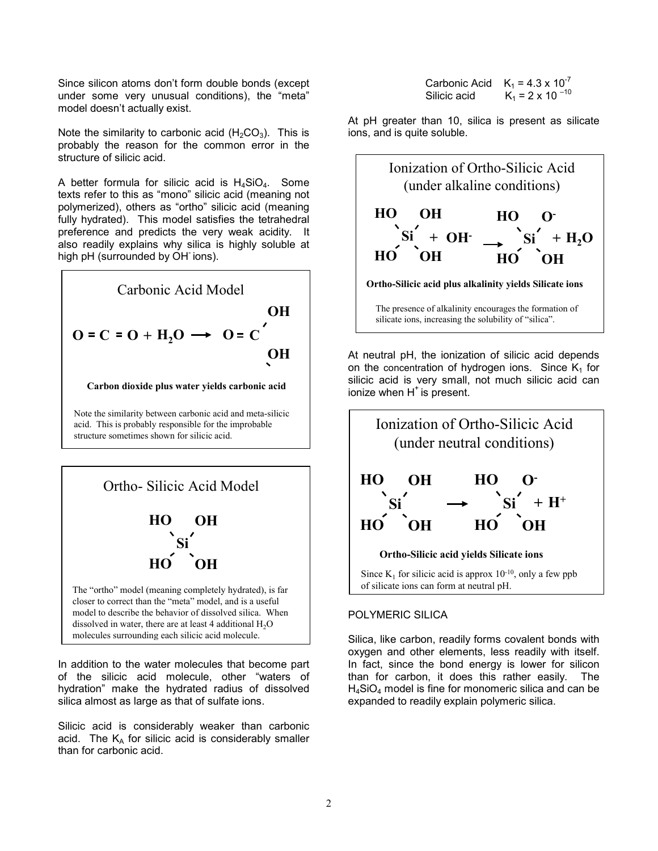Since silicon atoms don't form double bonds (except under some very unusual conditions), the "meta" model doesn't actually exist.

Note the similarity to carbonic acid  $(H_2CO_3)$ . This is probably the reason for the common error in the structure of silicic acid.

A better formula for silicic acid is  $H_4SiO_4$ . Some texts refer to this as "mono" silicic acid (meaning not polymerized), others as "ortho" silicic acid (meaning fully hydrated). This model satisfies the tetrahedral preference and predicts the very weak acidity. It also readily explains why silica is highly soluble at high pH (surrounded by OH ions).



**Carbon dioxide plus water yields carbonic acid**

Note the similarity between carbonic acid and meta-silicic acid. This is probably responsible for the improbable structure sometimes shown for silicic acid.



In addition to the water molecules that become part of the silicic acid molecule, other "waters of hydration" make the hydrated radius of dissolved silica almost as large as that of sulfate ions.

Silicic acid is considerably weaker than carbonic acid. The  $K_A$  for silicic acid is considerably smaller than for carbonic acid.

| Carbonic Acid $K_1 = 4.3 \times 10^{-7}$ |                           |
|------------------------------------------|---------------------------|
| Silicic acid                             | $K_1 = 2 \times 10^{-10}$ |

At pH greater than 10, silica is present as silicate ions, and is quite soluble.



At neutral pH, the ionization of silicic acid depends on the concentration of hydrogen ions. Since  $K_1$  for silicic acid is very small, not much silicic acid can ionize when  $H^+$  is present.



## POLYMERIC SILICA

Silica, like carbon, readily forms covalent bonds with oxygen and other elements, less readily with itself. In fact, since the bond energy is lower for silicon than for carbon, it does this rather easily. The  $H_4SiO_4$  model is fine for monomeric silica and can be expanded to readily explain polymeric silica.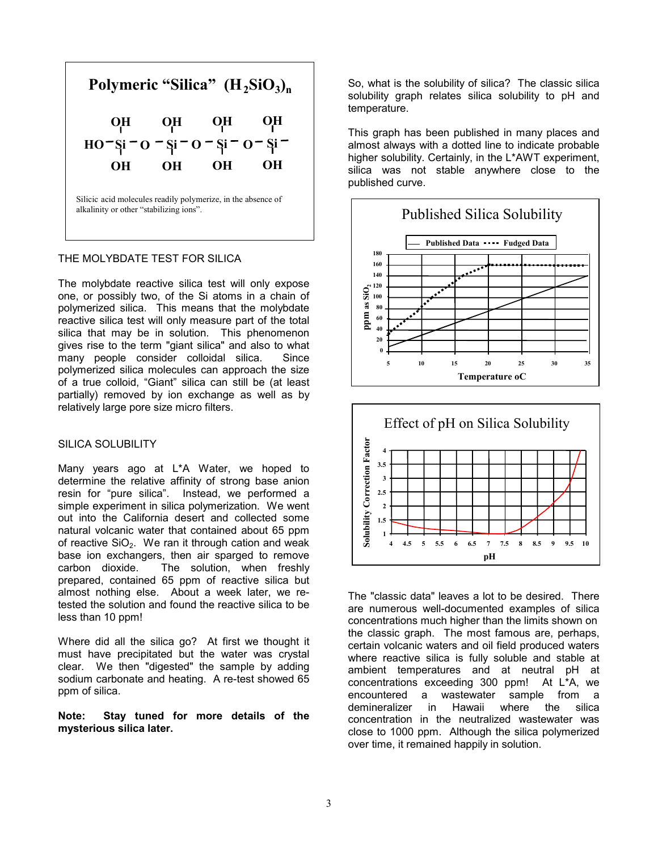

#### THE MOLYBDATE TEST FOR SILICA

The molybdate reactive silica test will only expose one, or possibly two, of the Si atoms in a chain of polymerized silica. This means that the molybdate reactive silica test will only measure part of the total silica that may be in solution. This phenomenon gives rise to the term "giant silica" and also to what many people consider colloidal silica. Since polymerized silica molecules can approach the size of a true colloid, "Giant" silica can still be (at least partially) removed by ion exchange as well as by relatively large pore size micro filters.

#### SILICA SOLUBILITY

Many years ago at L\*A Water, we hoped to determine the relative affinity of strong base anion resin for "pure silica". Instead, we performed a simple experiment in silica polymerization. We went out into the California desert and collected some natural volcanic water that contained about 65 ppm of reactive  $SiO<sub>2</sub>$ . We ran it through cation and weak base ion exchangers, then air sparged to remove carbon dioxide. The solution, when freshly prepared, contained 65 ppm of reactive silica but almost nothing else. About a week later, we retested the solution and found the reactive silica to be less than 10 ppm!

Where did all the silica go? At first we thought it must have precipitated but the water was crystal clear. We then "digested" the sample by adding sodium carbonate and heating. A re-test showed 65 ppm of silica.

**Note: Stay tuned for more details of the mysterious silica later.** 

So, what is the solubility of silica? The classic silica solubility graph relates silica solubility to pH and temperature.

This graph has been published in many places and almost always with a dotted line to indicate probable higher solubility. Certainly, in the L\*AWT experiment, silica was not stable anywhere close to the published curve.





The "classic data" leaves a lot to be desired. There are numerous well-documented examples of silica concentrations much higher than the limits shown on the classic graph. The most famous are, perhaps, certain volcanic waters and oil field produced waters where reactive silica is fully soluble and stable at ambient temperatures and at neutral pH at concentrations exceeding 300 ppm! At L\*A, we encountered a wastewater sample from a demineralizer in Hawaii where the silica concentration in the neutralized wastewater was close to 1000 ppm. Although the silica polymerized over time, it remained happily in solution.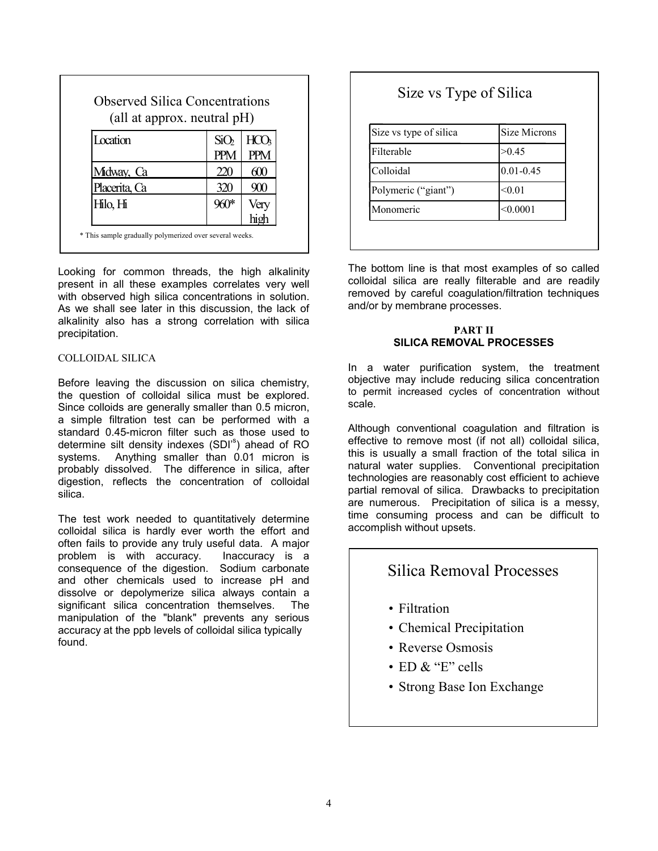| (all at approx. neutral pH) |                  |      |
|-----------------------------|------------------|------|
| Location                    | SiO <sub>2</sub> |      |
| Midway, Ca                  |                  | 600  |
| Placerita, Ca               | 320              | 900  |
| Hilo, Hi                    |                  | Very |

Looking for common threads, the high alkalinity present in all these examples correlates very well with observed high silica concentrations in solution. As we shall see later in this discussion, the lack of alkalinity also has a strong correlation with silica precipitation.

#### COLLOIDAL SILICA

Before leaving the discussion on silica chemistry, the question of colloidal silica must be explored. Since colloids are generally smaller than 0.5 micron, a simple filtration test can be performed with a standard 0.45-micron filter such as those used to determine silt density indexes (SDI'<sup>s</sup>) ahead of RO systems. Anything smaller than 0.01 micron is probably dissolved. The difference in silica, after digestion, reflects the concentration of colloidal silica.

The test work needed to quantitatively determine colloidal silica is hardly ever worth the effort and often fails to provide any truly useful data. A major problem is with accuracy. Inaccuracy is a consequence of the digestion. Sodium carbonate and other chemicals used to increase pH and dissolve or depolymerize silica always contain a significant silica concentration themselves. The manipulation of the "blank" prevents any serious accuracy at the ppb levels of colloidal silica typically found.

# Size vs Type of Silica

| Size vs type of silica | Size Microns  |
|------------------------|---------------|
| Filterable             | >0.45         |
| Colloidal              | $0.01 - 0.45$ |
| Polymeric ("giant")    | < 0.01        |
| Monomeric              | < 0.0001      |

The bottom line is that most examples of so called colloidal silica are really filterable and are readily removed by careful coagulation/filtration techniques and/or by membrane processes.

#### **PART II SILICA REMOVAL PROCESSES**

In a water purification system, the treatment objective may include reducing silica concentration to permit increased cycles of concentration without scale.

Although conventional coagulation and filtration is effective to remove most (if not all) colloidal silica, this is usually a small fraction of the total silica in natural water supplies. Conventional precipitation technologies are reasonably cost efficient to achieve partial removal of silica. Drawbacks to precipitation are numerous. Precipitation of silica is a messy, time consuming process and can be difficult to accomplish without upsets.

## Silica Removal Processes

- Filtration
- Chemical Precipitation
- Reverse Osmosis
- ED  $\&$  "E" cells
- Strong Base Ion Exchange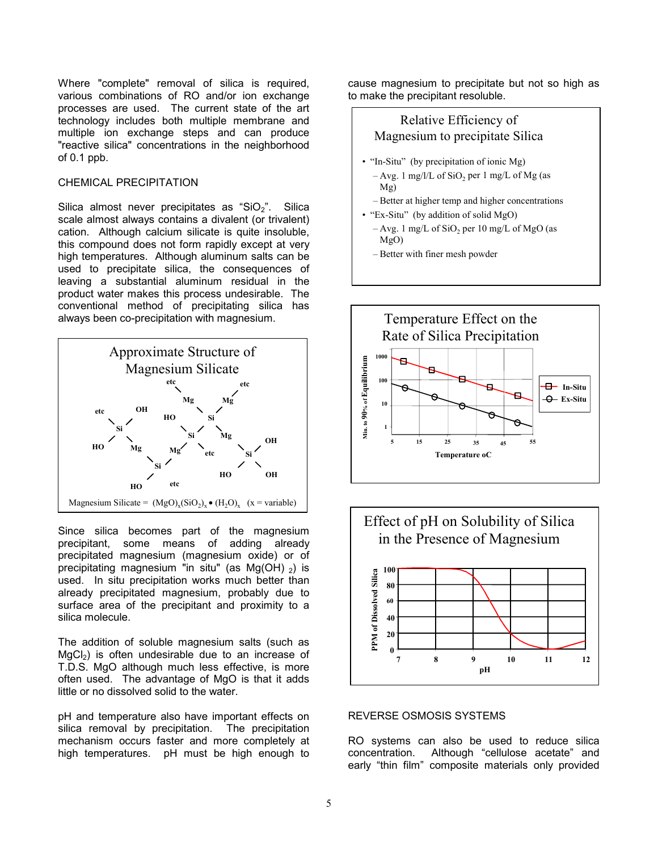Where "complete" removal of silica is required, various combinations of RO and/or ion exchange processes are used. The current state of the art technology includes both multiple membrane and multiple ion exchange steps and can produce "reactive silica" concentrations in the neighborhood of 0.1 ppb.

#### CHEMICAL PRECIPITATION

Silica almost never precipitates as "SiO $_2$ ". Silica scale almost always contains a divalent (or trivalent) cation. Although calcium silicate is quite insoluble, this compound does not form rapidly except at very high temperatures. Although aluminum salts can be used to precipitate silica, the consequences of leaving a substantial aluminum residual in the product water makes this process undesirable. The conventional method of precipitating silica has always been co-precipitation with magnesium.



Since silica becomes part of the magnesium precipitant, some means of adding already precipitated magnesium (magnesium oxide) or of precipitating magnesium "in situ" (as  $Mg(OH)$ <sub>2</sub>) is used. In situ precipitation works much better than already precipitated magnesium, probably due to surface area of the precipitant and proximity to a silica molecule.

The addition of soluble magnesium salts (such as  $MgCl<sub>2</sub>$ ) is often undesirable due to an increase of T.D.S. MgO although much less effective, is more often used. The advantage of MgO is that it adds little or no dissolved solid to the water.

pH and temperature also have important effects on silica removal by precipitation. The precipitation mechanism occurs faster and more completely at high temperatures. pH must be high enough to cause magnesium to precipitate but not so high as to make the precipitant resoluble.

## Relative Efficiency of Magnesium to precipitate Silica

- "In-Situ" (by precipitation of ionic Mg)
- $-$  Avg. 1 mg/l/L of SiO<sub>2</sub> per 1 mg/L of Mg (as Mg)
- Better at higher temp and higher concentrations
- "Ex-Situ" (by addition of solid MgO)
	- $-$  Avg. 1 mg/L of SiO<sub>2</sub> per 10 mg/L of MgO (as MgO)
	- Better with finer mesh powder





### REVERSE OSMOSIS SYSTEMS

RO systems can also be used to reduce silica concentration. Although "cellulose acetate" and early "thin film" composite materials only provided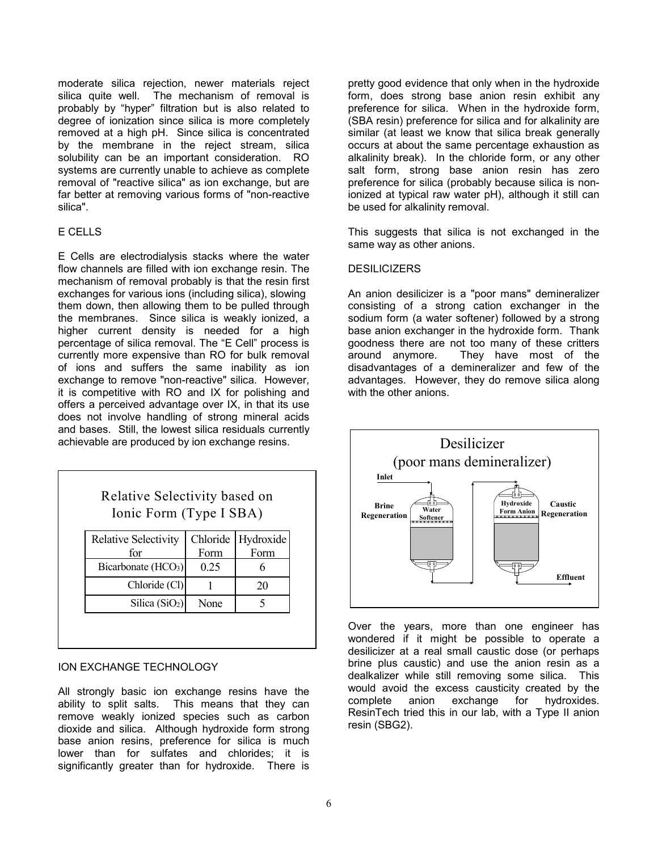moderate silica rejection, newer materials reject silica quite well. The mechanism of removal is probably by "hyper" filtration but is also related to degree of ionization since silica is more completely removed at a high pH. Since silica is concentrated by the membrane in the reject stream, silical solubility can be an important consideration. RO systems are currently unable to achieve as complete removal of "reactive silica" as ion exchange, but are far better at removing various forms of "non-reactive silica".

### E CELLS

E Cells are electrodialysis stacks where the water flow channels are filled with ion exchange resin. The mechanism of removal probably is that the resin first exchanges for various ions (including silica), slowing them down, then allowing them to be pulled through the membranes. Since silica is weakly ionized, a higher current density is needed for a high percentage of silica removal. The "E Cell" process is currently more expensive than RO for bulk removal of ions and suffers the same inability as ion exchange to remove "non-reactive" silica. However, it is competitive with RO and IX for polishing and offers a perceived advantage over IX, in that its use does not involve handling of strong mineral acids and bases. Still, the lowest silica residuals currently achievable are produced by ion exchange resins.

| Relative Selectivity based on |
|-------------------------------|
| Ionic Form (Type I SBA)       |

| <b>Relative Selectivity</b>     |      | Chloride Hydroxide |
|---------------------------------|------|--------------------|
| for                             | Form | Form               |
| Bicarbonate (HCO <sub>3</sub> ) | 0.25 |                    |
| Chloride (Cl)                   |      | 20                 |
| Silica $(SiO2)$                 | None |                    |

#### ION EXCHANGE TECHNOLOGY

All strongly basic ion exchange resins have the ability to split salts. This means that they can remove weakly ionized species such as carbon dioxide and silica. Although hydroxide form strong base anion resins, preference for silica is much lower than for sulfates and chlorides; it is significantly greater than for hydroxide. There is

pretty good evidence that only when in the hydroxide form, does strong base anion resin exhibit any preference for silica. When in the hydroxide form, (SBA resin) preference for silica and for alkalinity are similar (at least we know that silica break generally occurs at about the same percentage exhaustion as alkalinity break). In the chloride form, or any other salt form, strong base anion resin has zero preference for silica (probably because silica is nonionized at typical raw water pH), although it still can be used for alkalinity removal.

This suggests that silica is not exchanged in the same way as other anions.

#### **DESILICIZERS**

An anion desilicizer is a "poor mans" demineralizer consisting of a strong cation exchanger in the sodium form (a water softener) followed by a strong base anion exchanger in the hydroxide form. Thank goodness there are not too many of these critters around anymore. They have most of the disadvantages of a demineralizer and few of the advantages. However, they do remove silica along with the other anions.



Over the years, more than one engineer has wondered if it might be possible to operate a desilicizer at a real small caustic dose (or perhaps brine plus caustic) and use the anion resin as a dealkalizer while still removing some silica. This would avoid the excess causticity created by the complete anion exchange for hydroxides. ResinTech tried this in our lab, with a Type II anion resin (SBG2).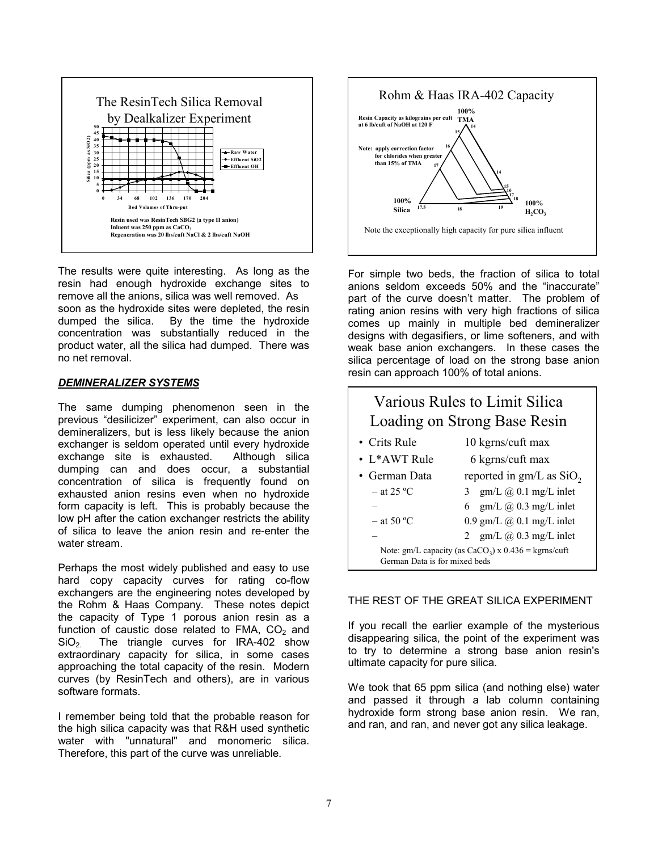

The results were quite interesting. As long as the resin had enough hydroxide exchange sites to remove all the anions, silica was well removed. As soon as the hydroxide sites were depleted, the resin dumped the silica. By the time the hydroxide concentration was substantially reduced in the product water, all the silica had dumped. There was no net removal.

#### *DEMINERALIZER SYSTEMS*

The same dumping phenomenon seen in the previous "desilicizer" experiment, can also occur in demineralizers, but is less likely because the anion exchanger is seldom operated until every hydroxide exchange site is exhausted. Although silica dumping can and does occur, a substantial concentration of silica is frequently found on exhausted anion resins even when no hydroxide form capacity is left. This is probably because the low pH after the cation exchanger restricts the ability of silica to leave the anion resin and re-enter the water stream.

Perhaps the most widely published and easy to use hard copy capacity curves for rating co-flow exchangers are the engineering notes developed by the Rohm & Haas Company. These notes depict the capacity of Type 1 porous anion resin as a function of caustic dose related to FMA,  $CO<sub>2</sub>$  and SiO2. The triangle curves for IRA-402 show extraordinary capacity for silica, in some cases approaching the total capacity of the resin. Modern curves (by ResinTech and others), are in various software formats.

I remember being told that the probable reason for the high silica capacity was that R&H used synthetic water with "unnatural" and monomeric silica. Therefore, this part of the curve was unreliable.



For simple two beds, the fraction of silica to total anions seldom exceeds 50% and the "inaccurate" part of the curve doesn't matter. The problem of rating anion resins with very high fractions of silica comes up mainly in multiple bed demineralizer designs with degasifiers, or lime softeners, and with weak base anion exchangers. In these cases the silica percentage of load on the strong base anion resin can approach 100% of total anions.

|                               | Various Rules to Limit Silica<br>Loading on Strong Base Resin |
|-------------------------------|---------------------------------------------------------------|
| • Crits Rule                  | 10 kgrns/cuft max                                             |
| $\cdot$ L*AWT Rule            | 6 kgrns/cuft max                                              |
| • German Data                 | reported in $gm/L$ as $SiO2$                                  |
| $-$ at 25 °C                  | 3 gm/L $(a)$ 0.1 mg/L inlet                                   |
|                               | 6 gm/L $(a)$ 0.3 mg/L inlet                                   |
| $-$ at 50 °C                  | $0.9$ gm/L $\omega$ 0.1 mg/L inlet                            |
|                               | $gm/L$ $@$ 0.3 mg/L inlet<br>2                                |
| German Data is for mixed beds | Note: gm/L capacity (as $CaCO3$ ) x 0.436 = kgrns/cuft        |

## THE REST OF THE GREAT SILICA EXPERIMENT

If you recall the earlier example of the mysterious disappearing silica, the point of the experiment was to try to determine a strong base anion resin's ultimate capacity for pure silica.

We took that 65 ppm silica (and nothing else) water and passed it through a lab column containing hydroxide form strong base anion resin. We ran, and ran, and ran, and never got any silica leakage.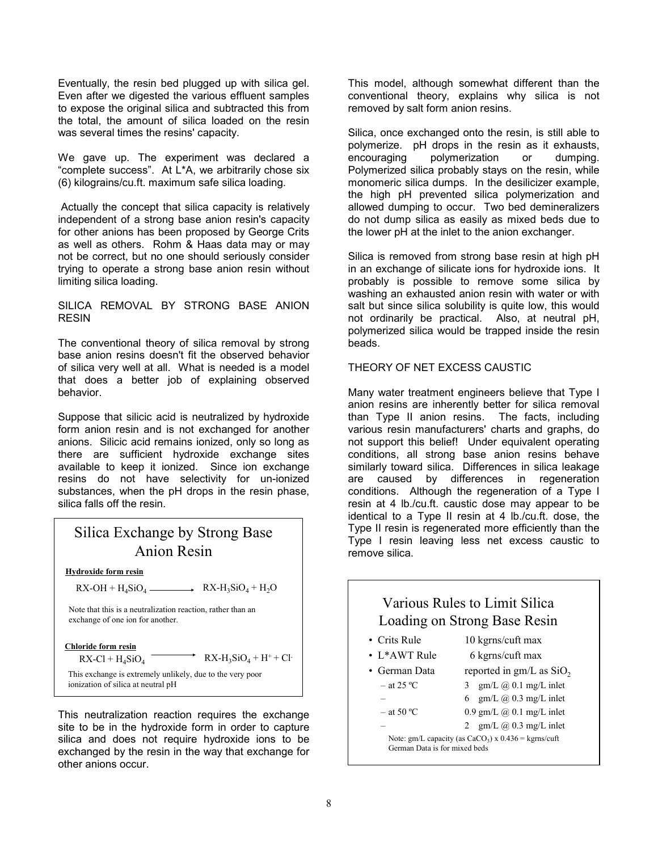Eventually, the resin bed plugged up with silica gel. Even after we digested the various effluent samples to expose the original silica and subtracted this from the total, the amount of silica loaded on the resin was several times the resins' capacity.

We gave up. The experiment was declared a "complete success". At L\*A, we arbitrarily chose six (6) kilograins/cu.ft. maximum safe silica loading.

 Actually the concept that silica capacity is relatively independent of a strong base anion resin's capacity for other anions has been proposed by George Crits as well as others. Rohm & Haas data may or may not be correct, but no one should seriously consider trying to operate a strong base anion resin without limiting silica loading.

### SILICA REMOVAL BY STRONG BASE ANION RESIN

The conventional theory of silica removal by strong base anion resins doesn't fit the observed behavior of silica very well at all. What is needed is a model that does a better job of explaining observed behavior.

Suppose that silicic acid is neutralized by hydroxide form anion resin and is not exchanged for another anions. Silicic acid remains ionized, only so long as there are sufficient hydroxide exchange sites available to keep it ionized. Since ion exchange resins do not have selectivity for un-ionized substances, when the pH drops in the resin phase, silica falls off the resin.

# Silica Exchange by Strong Base Anion Resin

**Hydroxide form resin**

 $RX-OH + H_4SiO_4 \longrightarrow RX-H_3SiO_4 + H_2O$ 

Note that this is a neutralization reaction, rather than an exchange of one ion for another.

**Chloride form resin**

 $RX-Cl + H<sub>4</sub>SiO<sub>4</sub>$   $RX-H<sub>3</sub>SiO<sub>4</sub> + H<sup>+</sup> + Cl<sup>-</sup>$ 

This exchange is extremely unlikely, due to the very poor ionization of silica at neutral pH

This neutralization reaction requires the exchange site to be in the hydroxide form in order to capture silica and does not require hydroxide ions to be exchanged by the resin in the way that exchange for other anions occur.

This model, although somewhat different than the conventional theory, explains why silica is not removed by salt form anion resins.

Silica, once exchanged onto the resin, is still able to polymerize. pH drops in the resin as it exhausts, encouraging polymerization or dumping. Polymerized silica probably stays on the resin, while monomeric silica dumps. In the desilicizer example, the high pH prevented silica polymerization and allowed dumping to occur. Two bed demineralizers do not dump silica as easily as mixed beds due to the lower pH at the inlet to the anion exchanger.

Silica is removed from strong base resin at high pH in an exchange of silicate ions for hydroxide ions. It probably is possible to remove some silica by washing an exhausted anion resin with water or with salt but since silica solubility is quite low, this would not ordinarily be practical. Also, at neutral pH, polymerized silica would be trapped inside the resin beads.

### THEORY OF NET EXCESS CAUSTIC

Many water treatment engineers believe that Type I anion resins are inherently better for silica removal than Type II anion resins. The facts, including various resin manufacturers' charts and graphs, do not support this belief! Under equivalent operating conditions, all strong base anion resins behave similarly toward silica. Differences in silica leakage are caused by differences in regeneration conditions. Although the regeneration of a Type I resin at 4 lb./cu.ft. caustic dose may appear to be identical to a Type II resin at 4 lb./cu.ft. dose, the Type II resin is regenerated more efficiently than the Type I resin leaving less net excess caustic to remove silica.

| Various Rules to Limit Silica<br>Loading on Strong Base Resin                             |                                    |
|-------------------------------------------------------------------------------------------|------------------------------------|
| • Crits Rule                                                                              | 10 kgrns/cuft max                  |
| $\cdot$ L*AWT Rule                                                                        | 6 kgrns/cuft max                   |
| • German Data                                                                             | reported in $gm/L$ as $SiO2$       |
| $-$ at 25 °C                                                                              | 3 gm/L $\omega$ 0.1 mg/L inlet     |
|                                                                                           | 6 gm/L $\omega$ 0.3 mg/L inlet     |
| $-$ at 50 °C                                                                              | $0.9$ gm/L $\omega$ 0.1 mg/L inlet |
|                                                                                           | 2 gm/L $\omega$ 0.3 mg/L inlet     |
| Note: gm/L capacity (as $CaCO3$ ) x $0.436$ = kgrns/cuft<br>German Data is for mixed beds |                                    |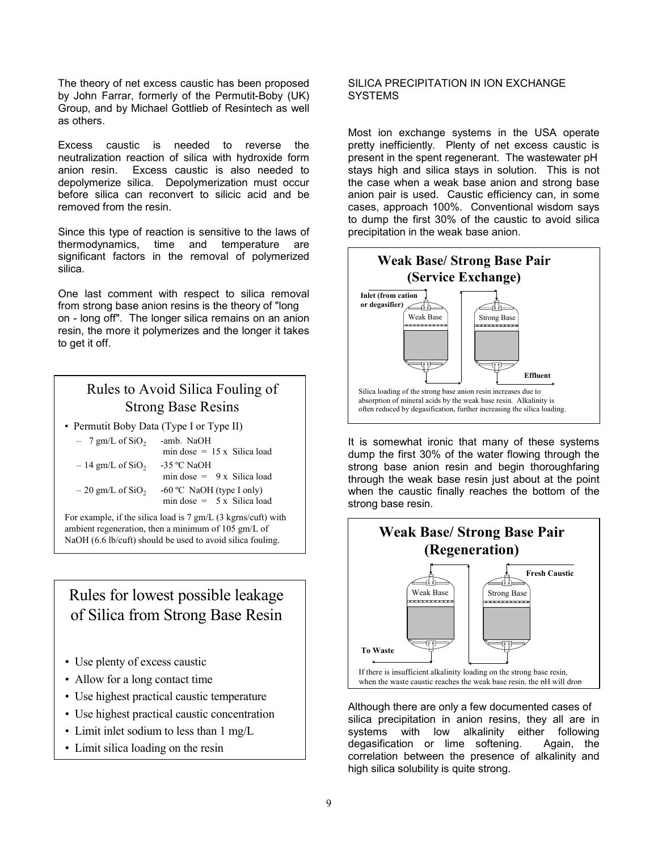The theory of net excess caustic has been proposed by John Farrar, formerly of the Permutit-Boby (UK) Group, and by Michael Gottlieb of Resintech as well as others.

Excess caustic is needed to reverse the neutralization reaction of silica with hydroxide form anion resin. Excess caustic is also needed to depolymerize silica. Depolymerization must occur before silica can reconvert to silicic acid and be removed from the resin.

Since this type of reaction is sensitive to the laws of thermodynamics, time and temperature are significant factors in the removal of polymerized silica.

One last comment with respect to silica removal from strong base anion resins is the theory of "long on - long off". The longer silica remains on an anion resin, the more it polymerizes and the longer it takes to get it off.

# Rules to Avoid Silica Fouling of Strong Base Resins

• Permutit Boby Data (Type I or Type II)

| $-7$ gm/L of SiO <sub>2</sub>  | -amb. NaOH<br>min dose = $15 \times$ Silica load                 |
|--------------------------------|------------------------------------------------------------------|
| $-14$ gm/L of SiO <sub>2</sub> | -35 °C NaOH<br>min dose = $9x$ Silica load                       |
| $-20$ gm/L of SiO <sub>2</sub> | $-60$ °C NaOH (type I only)<br>min dose = $5 \times$ Silica load |

For example, if the silica load is 7 gm/L (3 kgrns/cuft) with ambient regeneration, then a minimum of 105 gm/L of

Rules for lowest possible leakage of Silica from Strong Base Resin

- Use plenty of excess caustic
- Allow for a long contact time
- Use highest practical caustic temperature
- Use highest practical caustic concentration
- Limit inlet sodium to less than 1 mg/L
- Limit silica loading on the resin

### SILICA PRECIPITATION IN ION EXCHANGE SYSTEMS

Most ion exchange systems in the USA operate pretty inefficiently. Plenty of net excess caustic is present in the spent regenerant. The wastewater pH stays high and silica stays in solution. This is not the case when a weak base anion and strong base anion pair is used. Caustic efficiency can, in some cases, approach 100%. Conventional wisdom says to dump the first 30% of the caustic to avoid silica precipitation in the weak base anion.



It is somewhat ironic that many of these systems dump the first 30% of the water flowing through the strong base anion resin and begin thoroughfaring through the weak base resin just about at the point when the caustic finally reaches the bottom of the strong base resin.



Although there are only a few documented cases of silica precipitation in anion resins, they all are in systems with low alkalinity either following degasification or lime softening. Again, the correlation between the presence of alkalinity and high silica solubility is quite strong.